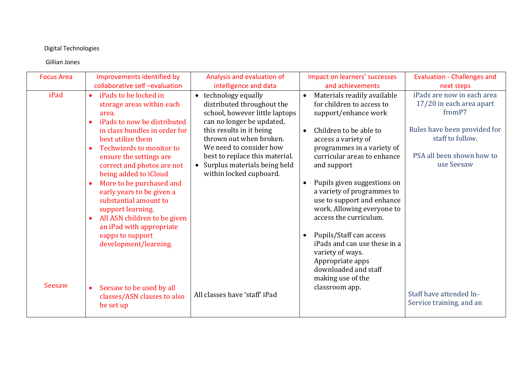## Digital Technologies

## Gillian Jones

| <b>Focus Area</b> | Improvements identified by                                                                                                                                                                                         | Analysis and evaluation of                                                                                                                                    | Impact on learners' successes                                                                                                                                | <b>Evaluation - Challenges and</b>                                                          |
|-------------------|--------------------------------------------------------------------------------------------------------------------------------------------------------------------------------------------------------------------|---------------------------------------------------------------------------------------------------------------------------------------------------------------|--------------------------------------------------------------------------------------------------------------------------------------------------------------|---------------------------------------------------------------------------------------------|
|                   | collaborative self-evaluation                                                                                                                                                                                      | intelligence and data                                                                                                                                         | and achievements                                                                                                                                             | next steps                                                                                  |
| iPad              | iPads to be locked in<br>$\bullet$<br>storage areas within each<br>area.<br>iPads to now be distributed<br>$\bullet$                                                                                               | • technology equally<br>distributed throughout the<br>school, however little laptops<br>can no longer be updated,                                             | Materials readily available<br>$\bullet$<br>for children to access to<br>support/enhance work                                                                | iPads are now in each area<br>17/20 in each area apart<br>from P7                           |
|                   | in class bundles in order for<br>best utilize them<br>Techwizrds to monitor to<br>$\bullet$<br>ensure the settings are<br>correct and photos are not                                                               | this results in it being<br>thrown out when broken.<br>We need to consider how<br>best to replace this material.<br>Surplus materials being held<br>$\bullet$ | Children to be able to<br>$\bullet$<br>access a variety of<br>programmes in a variety of<br>curricular areas to enhance<br>and support                       | Rules have been provided for<br>staff to follow.<br>PSA all been shown how to<br>use Seesaw |
|                   | being added to iCloud<br>More to be purchased and<br>$\bullet$<br>early years to be given a<br>substantial amount to<br>support learning.<br>All ASN children to be given<br>$\bullet$<br>an iPad with appropriate | within locked cupboard.                                                                                                                                       | Pupils given suggestions on<br>$\bullet$<br>a variety of programmes to<br>use to support and enhance<br>work. Allowing everyone to<br>access the curriculum. |                                                                                             |
| Seesaw            | eapps to support<br>development/learning.                                                                                                                                                                          |                                                                                                                                                               | Pupils/Staff can access<br>$\bullet$<br>iPads and can use these in a<br>variety of ways.<br>Appropriate apps<br>downloaded and staff<br>making use of the    |                                                                                             |
|                   | Seesaw to be used by all<br>$\bullet$<br>classes/ASN classes to also<br>be set up                                                                                                                                  | All classes have 'staff' iPad                                                                                                                                 | classroom app.                                                                                                                                               | Staff have attended In-<br>Service training, and an                                         |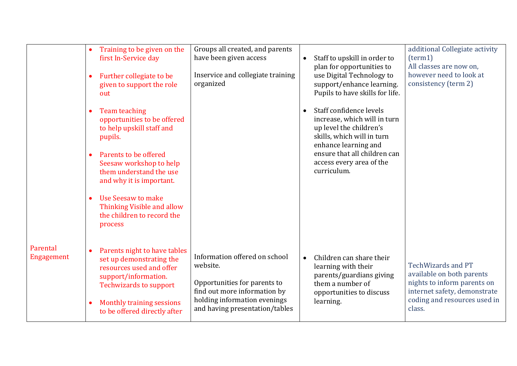|                        | Training to be given on the<br>first In-Service day<br>Further collegiate to be<br>$\bullet$<br>given to support the role<br>out                                                                             |                              | Groups all created, and parents<br>have been given access<br>Inservice and collegiate training<br>organized                                                                 | $\bullet$ | Staff to upskill in order to<br>plan for opportunities to<br>use Digital Technology to<br>support/enhance learning.<br>Pupils to have skills for life.                                                              | additional Collegiate activity<br>(term1)<br>All classes are now on,<br>however need to look at<br>consistency (term 2)                                         |
|------------------------|--------------------------------------------------------------------------------------------------------------------------------------------------------------------------------------------------------------|------------------------------|-----------------------------------------------------------------------------------------------------------------------------------------------------------------------------|-----------|---------------------------------------------------------------------------------------------------------------------------------------------------------------------------------------------------------------------|-----------------------------------------------------------------------------------------------------------------------------------------------------------------|
|                        | Team teaching<br>$\bullet$<br>opportunities to be offered<br>to help upskill staff and<br>pupils.<br>Parents to be offered<br>Seesaw workshop to help<br>them understand the use<br>and why it is important. |                              |                                                                                                                                                                             | $\bullet$ | Staff confidence levels<br>increase, which will in turn<br>up level the children's<br>skills, which will in turn<br>enhance learning and<br>ensure that all children can<br>access every area of the<br>curriculum. |                                                                                                                                                                 |
|                        | Use Seesaw to make<br>$\bullet$<br>Thinking Visible and allow<br>the children to record the<br>process                                                                                                       |                              |                                                                                                                                                                             |           |                                                                                                                                                                                                                     |                                                                                                                                                                 |
| Parental<br>Engagement | $\bullet$<br>set up demonstrating the<br>resources used and offer<br>support/information.<br><b>Techwizards to support</b><br>Monthly training sessions<br>$\bullet$<br>to be offered directly after         | Parents night to have tables | Information offered on school<br>website.<br>Opportunities for parents to<br>find out more information by<br>holding information evenings<br>and having presentation/tables | $\bullet$ | Children can share their<br>learning with their<br>parents/guardians giving<br>them a number of<br>opportunities to discuss<br>learning.                                                                            | <b>TechWizards and PT</b><br>available on both parents<br>nights to inform parents on<br>internet safety, demonstrate<br>coding and resources used in<br>class. |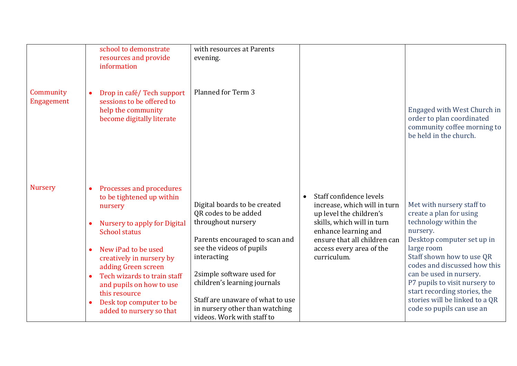|                         | school to demonstrate<br>resources and provide<br>information                                                                                                                                                | with resources at Parents<br>evening.                                                                                                                                        |                                                                                                                                                                                                      |                                                                                                                                                                                                                      |
|-------------------------|--------------------------------------------------------------------------------------------------------------------------------------------------------------------------------------------------------------|------------------------------------------------------------------------------------------------------------------------------------------------------------------------------|------------------------------------------------------------------------------------------------------------------------------------------------------------------------------------------------------|----------------------------------------------------------------------------------------------------------------------------------------------------------------------------------------------------------------------|
| Community<br>Engagement | Drop in café/Tech support<br>$\bullet$<br>sessions to be offered to<br>help the community<br>become digitally literate                                                                                       | Planned for Term 3                                                                                                                                                           |                                                                                                                                                                                                      | Engaged with West Church in<br>order to plan coordinated<br>community coffee morning to<br>be held in the church.                                                                                                    |
| <b>Nursery</b>          | Processes and procedures<br>$\bullet$<br>to be tightened up within<br>nursery<br>Nursery to apply for Digital<br><b>School status</b><br>New iPad to be used                                                 | Digital boards to be created<br>QR codes to be added<br>throughout nursery<br>Parents encouraged to scan and<br>see the videos of pupils                                     | Staff confidence levels<br>increase, which will in turn<br>up level the children's<br>skills, which will in turn<br>enhance learning and<br>ensure that all children can<br>access every area of the | Met with nursery staff to<br>create a plan for using<br>technology within the<br>nursery.<br>Desktop computer set up in<br>large room                                                                                |
|                         | creatively in nursery by<br>adding Green screen<br>Tech wizards to train staff<br>$\bullet$<br>and pupils on how to use<br>this resource<br>Desk top computer to be<br>$\bullet$<br>added to nursery so that | interacting<br>2simple software used for<br>children's learning journals<br>Staff are unaware of what to use<br>in nursery other than watching<br>videos. Work with staff to | curriculum.                                                                                                                                                                                          | Staff shown how to use QR<br>codes and discussed how this<br>can be used in nursery.<br>P7 pupils to visit nursery to<br>start recording stories, the<br>stories will be linked to a QR<br>code so pupils can use an |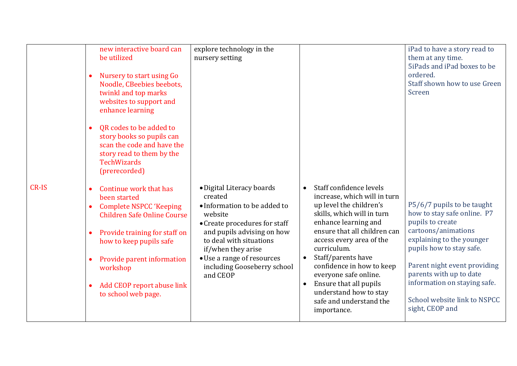|       | new interactive board can<br>be utilized<br>Nursery to start using Go<br>$\bullet$<br>Noodle, CBeebies beebots,<br>twinkl and top marks<br>websites to support and<br>enhance learning                                                                                                                                                     | explore technology in the<br>nursery setting                                                                                                                                                                                                                             |                                                                                                                                                                                                                                                                                                                                                                                                                         | iPad to have a story read to<br>them at any time.<br>5iPads and iPad boxes to be<br>ordered.<br>Staff shown how to use Green<br>Screen                                                                                                                                                                      |
|-------|--------------------------------------------------------------------------------------------------------------------------------------------------------------------------------------------------------------------------------------------------------------------------------------------------------------------------------------------|--------------------------------------------------------------------------------------------------------------------------------------------------------------------------------------------------------------------------------------------------------------------------|-------------------------------------------------------------------------------------------------------------------------------------------------------------------------------------------------------------------------------------------------------------------------------------------------------------------------------------------------------------------------------------------------------------------------|-------------------------------------------------------------------------------------------------------------------------------------------------------------------------------------------------------------------------------------------------------------------------------------------------------------|
|       | QR codes to be added to<br>$\bullet$<br>story books so pupils can<br>scan the code and have the<br>story read to them by the<br><b>TechWizards</b><br>(prerecorded)                                                                                                                                                                        |                                                                                                                                                                                                                                                                          |                                                                                                                                                                                                                                                                                                                                                                                                                         |                                                                                                                                                                                                                                                                                                             |
| CR-IS | Continue work that has<br>$\bullet$<br>been started<br><b>Complete NSPCC 'Keeping</b><br>$\bullet$<br><b>Children Safe Online Course</b><br>Provide training for staff on<br>$\bullet$<br>how to keep pupils safe<br>Provide parent information<br>$\bullet$<br>workshop<br>Add CEOP report abuse link<br>$\bullet$<br>to school web page. | · Digital Literacy boards<br>created<br>• Information to be added to<br>website<br>• Create procedures for staff<br>and pupils advising on how<br>to deal with situations<br>if/when they arise<br>• Use a range of resources<br>including Gooseberry school<br>and CEOP | Staff confidence levels<br>$\bullet$<br>increase, which will in turn<br>up level the children's<br>skills, which will in turn<br>enhance learning and<br>ensure that all children can<br>access every area of the<br>curriculum.<br>Staff/parents have<br>confidence in how to keep<br>everyone safe online.<br>Ensure that all pupils<br>$\bullet$<br>understand how to stay<br>safe and understand the<br>importance. | P5/6/7 pupils to be taught<br>how to stay safe online. P7<br>pupils to create<br>cartoons/animations<br>explaining to the younger<br>pupils how to stay safe.<br>Parent night event providing<br>parents with up to date<br>information on staying safe.<br>School website link to NSPCC<br>sight, CEOP and |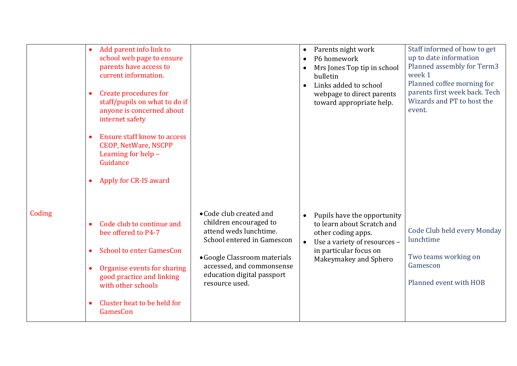|        | Add parent info link to<br>school web page to ensure<br>parents have access to<br>current information.<br>Create procedures for<br>$\bullet$<br>staff/pupils on what to do if<br>anyone is concerned about<br>internet safety<br><b>Ensure staff know to access</b><br>$\bullet$<br><b>CEOP, NetWare, NSCPP</b><br>Learning for help -<br>Guidance<br>Apply for CR-IS award<br>$\bullet$ |                                                                                                                                                                                                                        | $\bullet$<br>$\bullet$ | Parents night work<br>P6 homework<br>Mrs Jones Top tip in school<br>bulletin<br>Links added to school<br>webpage to direct parents<br>toward appropriate help.     | Staff informed of how to get<br>up to date information<br>Planned assembly for Term3<br>week 1<br>Planned coffee morning for<br>parents first week back. Tech<br>Wizards and PT to host the<br>event. |
|--------|------------------------------------------------------------------------------------------------------------------------------------------------------------------------------------------------------------------------------------------------------------------------------------------------------------------------------------------------------------------------------------------|------------------------------------------------------------------------------------------------------------------------------------------------------------------------------------------------------------------------|------------------------|--------------------------------------------------------------------------------------------------------------------------------------------------------------------|-------------------------------------------------------------------------------------------------------------------------------------------------------------------------------------------------------|
| Coding | Code club to continue and<br>$\bullet$<br>bee offered to P4-7<br><b>School to enter GamesCon</b><br>$\bullet$<br>Organise events for sharing<br>$\bullet$<br>good practice and linking<br>with other schools<br>Cluster heat to be held for<br>$\bullet$<br>GamesCon                                                                                                                     | • Code club created and<br>children encouraged to<br>attend weds lunchtime.<br>School entered in Gamescon<br>• Google Classroom materials<br>accessed, and commonsense<br>education digital passport<br>resource used. | $\bullet$<br>$\bullet$ | Pupils have the opportunity<br>to learn about Scratch and<br>other coding apps.<br>Use a variety of resources -<br>in particular focus on<br>Makeymakey and Sphero | Code Club held every Monday<br>lunchtime<br>Two teams working on<br>Gamescon<br>Planned event with HOB                                                                                                |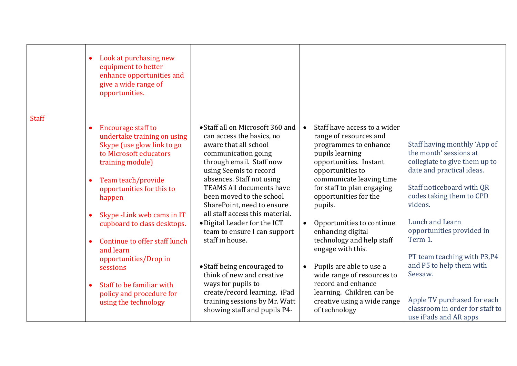|              | Look at purchasing new<br>$\bullet$<br>equipment to better<br>enhance opportunities and<br>give a wide range of<br>opportunities.                                                                                                                                                                                                                                                                                                                                                       |                                                                                                                                                                                                                                                                                                                                                                                                                                                                                                                                                                                                        |                                                                                                                                                                                                                                                                                                                                                                                                                                                                                                                              |                                                                                                                                                                                                                                                                                                                                                                                                                      |
|--------------|-----------------------------------------------------------------------------------------------------------------------------------------------------------------------------------------------------------------------------------------------------------------------------------------------------------------------------------------------------------------------------------------------------------------------------------------------------------------------------------------|--------------------------------------------------------------------------------------------------------------------------------------------------------------------------------------------------------------------------------------------------------------------------------------------------------------------------------------------------------------------------------------------------------------------------------------------------------------------------------------------------------------------------------------------------------------------------------------------------------|------------------------------------------------------------------------------------------------------------------------------------------------------------------------------------------------------------------------------------------------------------------------------------------------------------------------------------------------------------------------------------------------------------------------------------------------------------------------------------------------------------------------------|----------------------------------------------------------------------------------------------------------------------------------------------------------------------------------------------------------------------------------------------------------------------------------------------------------------------------------------------------------------------------------------------------------------------|
| <b>Staff</b> | <b>Encourage staff to</b><br>$\bullet$<br>undertake training on using<br>Skype (use glow link to go<br>to Microsoft educators<br>training module)<br>Team teach/provide<br>$\bullet$<br>opportunities for this to<br>happen<br>Skype - Link web cams in IT<br>cupboard to class desktops.<br>Continue to offer staff lunch<br>$\bullet$<br>and learn<br>opportunities/Drop in<br>sessions<br>Staff to be familiar with<br>$\bullet$<br>policy and procedure for<br>using the technology | • Staff all on Microsoft 360 and<br>can access the basics, no<br>aware that all school<br>communication going<br>through email. Staff now<br>using Seemis to record<br>absences. Staff not using<br><b>TEAMS All documents have</b><br>been moved to the school<br>SharePoint, need to ensure<br>all staff access this material.<br>• Digital Leader for the ICT<br>team to ensure I can support<br>staff in house.<br>• Staff being encouraged to<br>think of new and creative<br>ways for pupils to<br>create/record learning. iPad<br>training sessions by Mr. Watt<br>showing staff and pupils P4- | Staff have access to a wider<br>$\bullet$<br>range of resources and<br>programmes to enhance<br>pupils learning<br>opportunities. Instant<br>opportunities to<br>communicate leaving time<br>for staff to plan engaging<br>opportunities for the<br>pupils.<br>Opportunities to continue<br>enhancing digital<br>technology and help staff<br>engage with this.<br>Pupils are able to use a<br>wide range of resources to<br>record and enhance<br>learning. Children can be<br>creative using a wide range<br>of technology | Staff having monthly 'App of<br>the month' sessions at<br>collegiate to give them up to<br>date and practical ideas.<br>Staff noticeboard with QR<br>codes taking them to CPD<br>videos.<br>Lunch and Learn<br>opportunities provided in<br>Term 1.<br>PT team teaching with P3,P4<br>and P5 to help them with<br>Seesaw.<br>Apple TV purchased for each<br>classroom in order for staff to<br>use iPads and AR apps |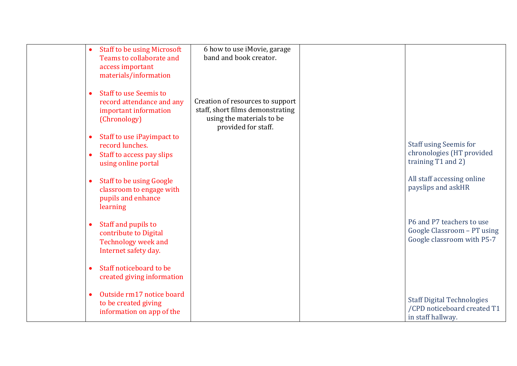| <b>Staff to be using Microsoft</b><br>Teams to collaborate and<br>access important<br>materials/information                 | 6 how to use iMovie, garage<br>band and book creator.                                                                    |                                                                                        |
|-----------------------------------------------------------------------------------------------------------------------------|--------------------------------------------------------------------------------------------------------------------------|----------------------------------------------------------------------------------------|
| <b>Staff to use Seemis to</b><br>$\bullet$<br>record attendance and any<br>important information<br>(Chronology)            | Creation of resources to support<br>staff, short films demonstrating<br>using the materials to be<br>provided for staff. |                                                                                        |
| Staff to use iPayimpact to<br>$\bullet$<br>record lunches.<br>Staff to access pay slips<br>$\bullet$<br>using online portal |                                                                                                                          | <b>Staff using Seemis for</b><br>chronologies (HT provided<br>training T1 and 2)       |
| <b>Staff to be using Google</b><br>$\bullet$<br>classroom to engage with<br>pupils and enhance<br>learning                  |                                                                                                                          | All staff accessing online<br>payslips and askHR                                       |
| Staff and pupils to<br>$\bullet$<br>contribute to Digital<br><b>Technology week and</b><br>Internet safety day.             |                                                                                                                          | P6 and P7 teachers to use<br>Google Classroom - PT using<br>Google classroom with P5-7 |
| Staff noticeboard to be<br>$\bullet$<br>created giving information                                                          |                                                                                                                          |                                                                                        |
| Outside rm17 notice board<br>$\bullet$<br>to be created giving<br>information on app of the                                 |                                                                                                                          | <b>Staff Digital Technologies</b><br>/CPD noticeboard created T1<br>in staff hallway.  |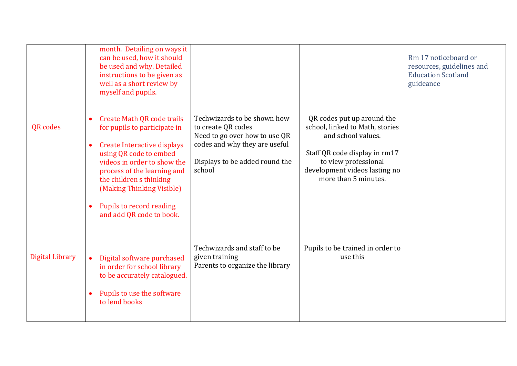|                        |                                     | month. Detailing on ways it<br>can be used, how it should<br>be used and why. Detailed<br>instructions to be given as<br>well as a short review by<br>myself and pupils.                                                                                                                                        |                                                                                                                                                                 |                                                                                                                                                                                                       | Rm 17 noticeboard or<br>resources, guidelines and<br><b>Education Scotland</b><br>guideance |
|------------------------|-------------------------------------|-----------------------------------------------------------------------------------------------------------------------------------------------------------------------------------------------------------------------------------------------------------------------------------------------------------------|-----------------------------------------------------------------------------------------------------------------------------------------------------------------|-------------------------------------------------------------------------------------------------------------------------------------------------------------------------------------------------------|---------------------------------------------------------------------------------------------|
| QR codes               | $\bullet$<br>$\bullet$<br>$\bullet$ | <b>Create Math QR code trails</b><br>for pupils to participate in<br><b>Create Interactive displays</b><br>using QR code to embed<br>videos in order to show the<br>process of the learning and<br>the children s thinking<br>(Making Thinking Visible)<br>Pupils to record reading<br>and add QR code to book. | Techwizards to be shown how<br>to create QR codes<br>Need to go over how to use QR<br>codes and why they are useful<br>Displays to be added round the<br>school | QR codes put up around the<br>school, linked to Math, stories<br>and school values.<br>Staff QR code display in rm17<br>to view professional<br>development videos lasting no<br>more than 5 minutes. |                                                                                             |
| <b>Digital Library</b> |                                     | Digital software purchased<br>in order for school library<br>to be accurately catalogued.<br>Pupils to use the software<br>to lend books                                                                                                                                                                        | Techwizards and staff to be<br>given training<br>Parents to organize the library                                                                                | Pupils to be trained in order to<br>use this                                                                                                                                                          |                                                                                             |